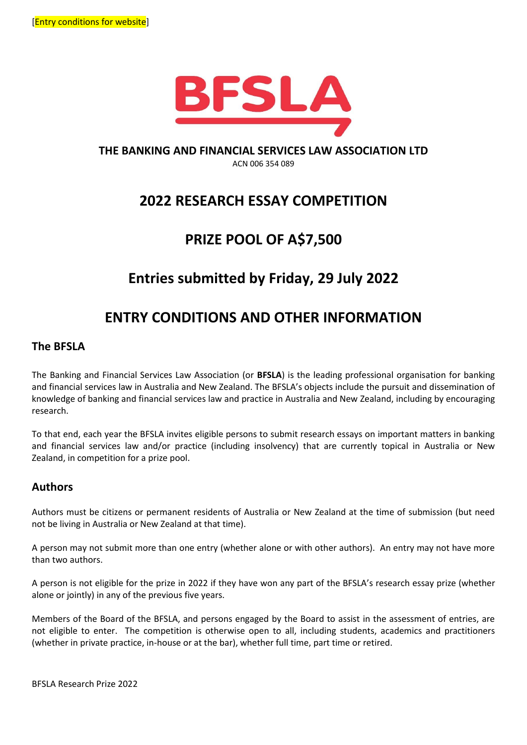

### **THE BANKING AND FINANCIAL SERVICES LAW ASSOCIATION LTD**

ACN 006 354 089

## **2022 RESEARCH ESSAY COMPETITION**

## **PRIZE POOL OF A\$7,500**

# **Entries submitted by Friday, 29 July 2022**

## **ENTRY CONDITIONS AND OTHER INFORMATION**

### **The BFSLA**

The Banking and Financial Services Law Association (or **BFSLA**) is the leading professional organisation for banking and financial services law in Australia and New Zealand. The BFSLA's objects include the pursuit and dissemination of knowledge of banking and financial services law and practice in Australia and New Zealand, including by encouraging research.

To that end, each year the BFSLA invites eligible persons to submit research essays on important matters in banking and financial services law and/or practice (including insolvency) that are currently topical in Australia or New Zealand, in competition for a prize pool.

### **Authors**

Authors must be citizens or permanent residents of Australia or New Zealand at the time of submission (but need not be living in Australia or New Zealand at that time).

A person may not submit more than one entry (whether alone or with other authors). An entry may not have more than two authors.

A person is not eligible for the prize in 2022 if they have won any part of the BFSLA's research essay prize (whether alone or jointly) in any of the previous five years.

Members of the Board of the BFSLA, and persons engaged by the Board to assist in the assessment of entries, are not eligible to enter. The competition is otherwise open to all, including students, academics and practitioners (whether in private practice, in-house or at the bar), whether full time, part time or retired.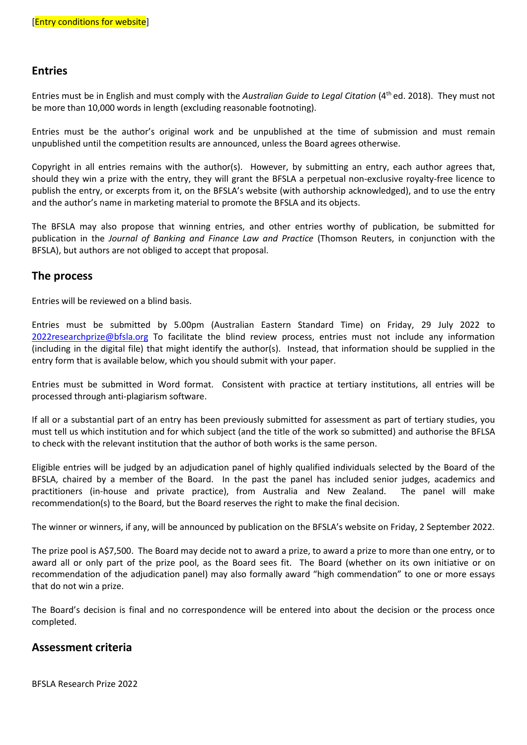### **Entries**

Entries must be in English and must comply with the *Australian Guide to Legal Citation* (4 th ed. 2018). They must not be more than 10,000 words in length (excluding reasonable footnoting).

Entries must be the author's original work and be unpublished at the time of submission and must remain unpublished until the competition results are announced, unless the Board agrees otherwise.

Copyright in all entries remains with the author(s). However, by submitting an entry, each author agrees that, should they win a prize with the entry, they will grant the BFSLA a perpetual non-exclusive royalty-free licence to publish the entry, or excerpts from it, on the BFSLA's website (with authorship acknowledged), and to use the entry and the author's name in marketing material to promote the BFSLA and its objects.

The BFSLA may also propose that winning entries, and other entries worthy of publication, be submitted for publication in the *Journal of Banking and Finance Law and Practice* (Thomson Reuters, in conjunction with the BFSLA), but authors are not obliged to accept that proposal.

#### **The process**

Entries will be reviewed on a blind basis.

Entries must be submitted by 5.00pm (Australian Eastern Standard Time) on Friday, 29 July 2022 to [2022researchprize@bfsla.org](mailto:2021researchprize@bfsla.org) To facilitate the blind review process, entries must not include any information (including in the digital file) that might identify the author(s). Instead, that information should be supplied in the entry form that is available below, which you should submit with your paper.

Entries must be submitted in Word format. Consistent with practice at tertiary institutions, all entries will be processed through anti-plagiarism software.

If all or a substantial part of an entry has been previously submitted for assessment as part of tertiary studies, you must tell us which institution and for which subject (and the title of the work so submitted) and authorise the BFLSA to check with the relevant institution that the author of both works is the same person.

Eligible entries will be judged by an adjudication panel of highly qualified individuals selected by the Board of the BFSLA, chaired by a member of the Board. In the past the panel has included senior judges, academics and practitioners (in-house and private practice), from Australia and New Zealand. The panel will make recommendation(s) to the Board, but the Board reserves the right to make the final decision.

The winner or winners, if any, will be announced by publication on the BFSLA's website on Friday, 2 September 2022.

The prize pool is A\$7,500. The Board may decide not to award a prize, to award a prize to more than one entry, or to award all or only part of the prize pool, as the Board sees fit. The Board (whether on its own initiative or on recommendation of the adjudication panel) may also formally award "high commendation" to one or more essays that do not win a prize.

The Board's decision is final and no correspondence will be entered into about the decision or the process once completed.

#### **Assessment criteria**

BFSLA Research Prize 2022